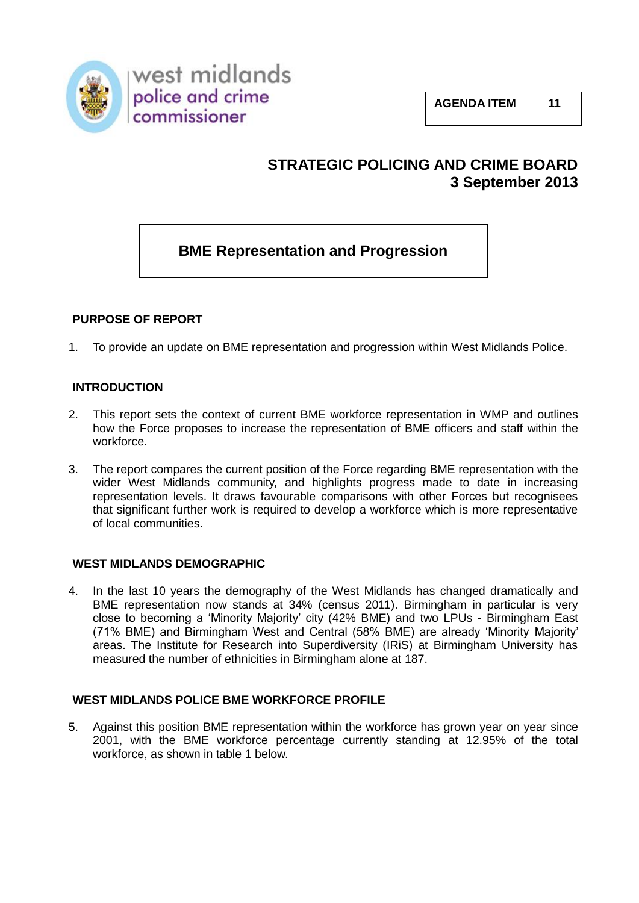

west midlands police and crime<br>commissioner

# **STRATEGIC POLICING AND CRIME BOARD 3 September 2013**

# **BME Representation and Progression**

# **PURPOSE OF REPORT**

1. To provide an update on BME representation and progression within West Midlands Police.

# **INTRODUCTION**

- 2. This report sets the context of current BME workforce representation in WMP and outlines how the Force proposes to increase the representation of BME officers and staff within the workforce.
- 3. The report compares the current position of the Force regarding BME representation with the wider West Midlands community, and highlights progress made to date in increasing representation levels. It draws favourable comparisons with other Forces but recognisees that significant further work is required to develop a workforce which is more representative of local communities.

# **WEST MIDLANDS DEMOGRAPHIC**

4. In the last 10 years the demography of the West Midlands has changed dramatically and BME representation now stands at 34% (census 2011). Birmingham in particular is very close to becoming a 'Minority Majority' city (42% BME) and two LPUs - Birmingham East (71% BME) and Birmingham West and Central (58% BME) are already 'Minority Majority' areas. The Institute for Research into Superdiversity (IRiS) at Birmingham University has measured the number of ethnicities in Birmingham alone at 187.

# **WEST MIDLANDS POLICE BME WORKFORCE PROFILE**

5. Against this position BME representation within the workforce has grown year on year since 2001, with the BME workforce percentage currently standing at 12.95% of the total workforce, as shown in table 1 below.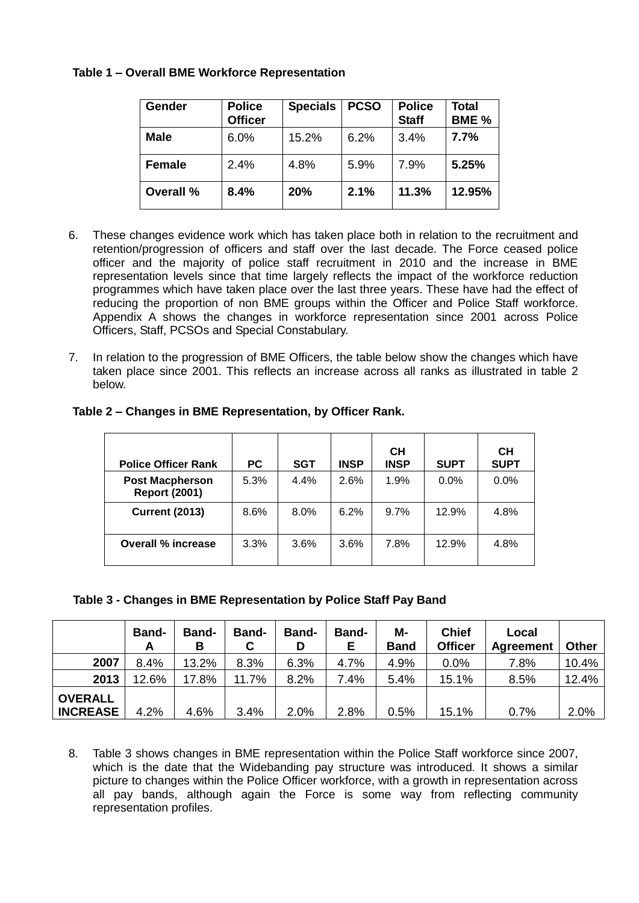# **Table 1 – Overall BME Workforce Representation**

| <b>Gender</b> | <b>Police</b><br><b>Officer</b> | <b>Specials</b> | <b>PCSO</b> | <b>Police</b><br><b>Staff</b> | Total<br>BME <sub>%</sub> |
|---------------|---------------------------------|-----------------|-------------|-------------------------------|---------------------------|
| <b>Male</b>   | 6.0%                            | 15.2%           | 6.2%        | 3.4%                          | 7.7%                      |
| <b>Female</b> | 2.4%                            | 4.8%            | 5.9%        | 7.9%                          | 5.25%                     |
| Overall %     | 8.4%                            | 20%             | 2.1%        | 11.3%                         | 12.95%                    |

- 6. These changes evidence work which has taken place both in relation to the recruitment and retention/progression of officers and staff over the last decade. The Force ceased police officer and the majority of police staff recruitment in 2010 and the increase in BME representation levels since that time largely reflects the impact of the workforce reduction programmes which have taken place over the last three years. These have had the effect of reducing the proportion of non BME groups within the Officer and Police Staff workforce. Appendix A shows the changes in workforce representation since 2001 across Police Officers, Staff, PCSOs and Special Constabulary.
- 7. In relation to the progression of BME Officers, the table below show the changes which have taken place since 2001. This reflects an increase across all ranks as illustrated in table 2 below.

|                                                |           |            |             | CН          |             | CН          |
|------------------------------------------------|-----------|------------|-------------|-------------|-------------|-------------|
| <b>Police Officer Rank</b>                     | <b>PC</b> | <b>SGT</b> | <b>INSP</b> | <b>INSP</b> | <b>SUPT</b> | <b>SUPT</b> |
| <b>Post Macpherson</b><br><b>Report (2001)</b> | 5.3%      | 4.4%       | 2.6%        | 1.9%        | $0.0\%$     | 0.0%        |
| <b>Current (2013)</b>                          | 8.6%      | $8.0\%$    | 6.2%        | 9.7%        | 12.9%       | 4.8%        |
| Overall % increase                             | 3.3%      | 3.6%       | 3.6%        | 7.8%        | 12.9%       | 4.8%        |

# **Table 2 – Changes in BME Representation, by Officer Rank.**

# **Table 3 - Changes in BME Representation by Police Staff Pay Band**

|                                   | <b>Band-</b><br>A | <b>Band-</b><br>В | <b>Band-</b><br>С | <b>Band-</b><br>D | <b>Band-</b><br>Е | M-<br><b>Band</b> | <b>Chief</b><br><b>Officer</b> | Local<br><b>Agreement</b> | <b>Other</b> |
|-----------------------------------|-------------------|-------------------|-------------------|-------------------|-------------------|-------------------|--------------------------------|---------------------------|--------------|
| 2007                              | 8.4%              | 13.2%             | 8.3%              | 6.3%              | 4.7%              | 4.9%              | 0.0%                           | 7.8%                      | 10.4%        |
| 2013                              | 12.6%             | 17.8%             | 11.7%             | 8.2%              | 7.4%              | 5.4%              | 15.1%                          | 8.5%                      | 12.4%        |
| <b>OVERALL</b><br><b>INCREASE</b> | 4.2%              | 4.6%              | 3.4%              | 2.0%              | 2.8%              | 0.5%              | 15.1%                          | 0.7%                      | 2.0%         |

8. Table 3 shows changes in BME representation within the Police Staff workforce since 2007, which is the date that the Widebanding pay structure was introduced. It shows a similar picture to changes within the Police Officer workforce, with a growth in representation across all pay bands, although again the Force is some way from reflecting community representation profiles.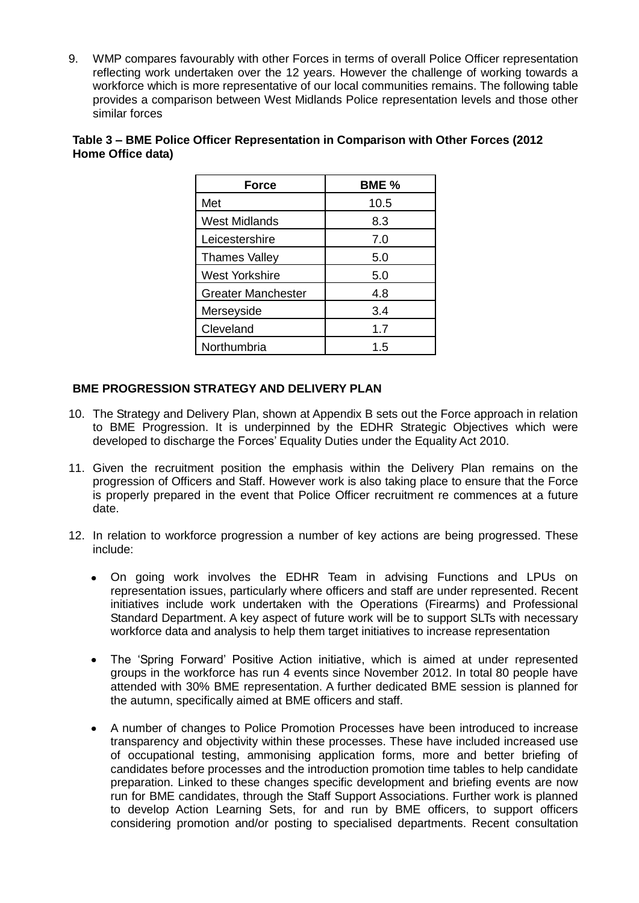9. WMP compares favourably with other Forces in terms of overall Police Officer representation reflecting work undertaken over the 12 years. However the challenge of working towards a workforce which is more representative of our local communities remains. The following table provides a comparison between West Midlands Police representation levels and those other similar forces

| <b>Force</b>              | BME % |  |  |  |
|---------------------------|-------|--|--|--|
| Met                       | 10.5  |  |  |  |
| <b>West Midlands</b>      | 8.3   |  |  |  |
| Leicestershire            | 7.0   |  |  |  |
| <b>Thames Valley</b>      | 5.0   |  |  |  |
| <b>West Yorkshire</b>     | 5.0   |  |  |  |
| <b>Greater Manchester</b> | 4.8   |  |  |  |
| Merseyside                | 3.4   |  |  |  |
| Cleveland                 | 1.7   |  |  |  |
| Northumbria               | 1.5   |  |  |  |

### **Table 3 – BME Police Officer Representation in Comparison with Other Forces (2012 Home Office data)**

# **BME PROGRESSION STRATEGY AND DELIVERY PLAN**

- 10. The Strategy and Delivery Plan, shown at Appendix B sets out the Force approach in relation to BME Progression. It is underpinned by the EDHR Strategic Objectives which were developed to discharge the Forces' Equality Duties under the Equality Act 2010.
- 11. Given the recruitment position the emphasis within the Delivery Plan remains on the progression of Officers and Staff. However work is also taking place to ensure that the Force is properly prepared in the event that Police Officer recruitment re commences at a future date.
- 12. In relation to workforce progression a number of key actions are being progressed. These include:
	- On going work involves the EDHR Team in advising Functions and LPUs on  $\bullet$ representation issues, particularly where officers and staff are under represented. Recent initiatives include work undertaken with the Operations (Firearms) and Professional Standard Department. A key aspect of future work will be to support SLTs with necessary workforce data and analysis to help them target initiatives to increase representation
	- The 'Spring Forward' Positive Action initiative, which is aimed at under represented  $\bullet$ groups in the workforce has run 4 events since November 2012. In total 80 people have attended with 30% BME representation. A further dedicated BME session is planned for the autumn, specifically aimed at BME officers and staff.
	- A number of changes to Police Promotion Processes have been introduced to increase transparency and objectivity within these processes. These have included increased use of occupational testing, ammonising application forms, more and better briefing of candidates before processes and the introduction promotion time tables to help candidate preparation. Linked to these changes specific development and briefing events are now run for BME candidates, through the Staff Support Associations. Further work is planned to develop Action Learning Sets, for and run by BME officers, to support officers considering promotion and/or posting to specialised departments. Recent consultation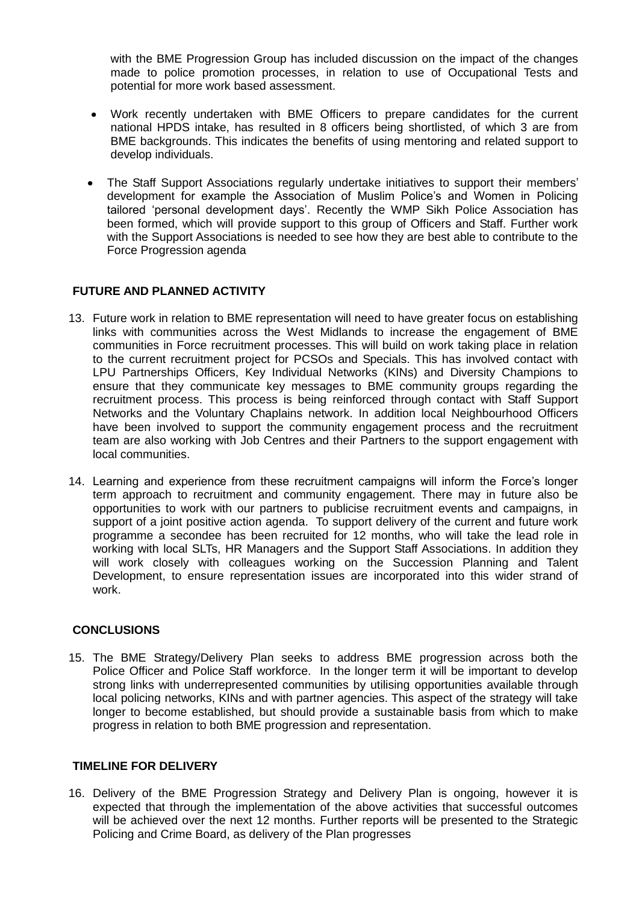with the BME Progression Group has included discussion on the impact of the changes made to police promotion processes, in relation to use of Occupational Tests and potential for more work based assessment.

- Work recently undertaken with BME Officers to prepare candidates for the current  $\bullet$ national HPDS intake, has resulted in 8 officers being shortlisted, of which 3 are from BME backgrounds. This indicates the benefits of using mentoring and related support to develop individuals.
- The Staff Support Associations regularly undertake initiatives to support their members'  $\bullet$ development for example the Association of Muslim Police's and Women in Policing tailored 'personal development days'. Recently the WMP Sikh Police Association has been formed, which will provide support to this group of Officers and Staff. Further work with the Support Associations is needed to see how they are best able to contribute to the Force Progression agenda

# **FUTURE AND PLANNED ACTIVITY**

- 13. Future work in relation to BME representation will need to have greater focus on establishing links with communities across the West Midlands to increase the engagement of BME communities in Force recruitment processes. This will build on work taking place in relation to the current recruitment project for PCSOs and Specials. This has involved contact with LPU Partnerships Officers, Key Individual Networks (KINs) and Diversity Champions to ensure that they communicate key messages to BME community groups regarding the recruitment process. This process is being reinforced through contact with Staff Support Networks and the Voluntary Chaplains network. In addition local Neighbourhood Officers have been involved to support the community engagement process and the recruitment team are also working with Job Centres and their Partners to the support engagement with local communities.
- 14. Learning and experience from these recruitment campaigns will inform the Force's longer term approach to recruitment and community engagement. There may in future also be opportunities to work with our partners to publicise recruitment events and campaigns, in support of a joint positive action agenda. To support delivery of the current and future work programme a secondee has been recruited for 12 months, who will take the lead role in working with local SLTs, HR Managers and the Support Staff Associations. In addition they will work closely with colleagues working on the Succession Planning and Talent Development, to ensure representation issues are incorporated into this wider strand of work.

# **CONCLUSIONS**

15. The BME Strategy/Delivery Plan seeks to address BME progression across both the Police Officer and Police Staff workforce. In the longer term it will be important to develop strong links with underrepresented communities by utilising opportunities available through local policing networks, KINs and with partner agencies. This aspect of the strategy will take longer to become established, but should provide a sustainable basis from which to make progress in relation to both BME progression and representation.

# **TIMELINE FOR DELIVERY**

16. Delivery of the BME Progression Strategy and Delivery Plan is ongoing, however it is expected that through the implementation of the above activities that successful outcomes will be achieved over the next 12 months. Further reports will be presented to the Strategic Policing and Crime Board, as delivery of the Plan progresses